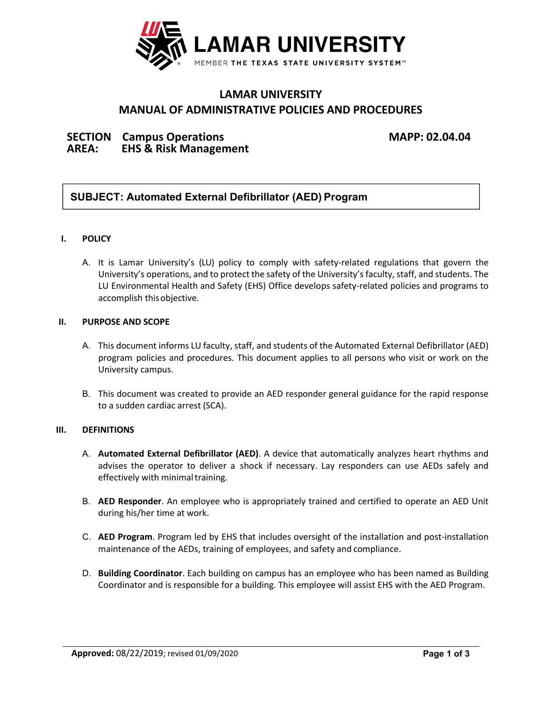

# **LAMAR UNIVERSITY MANUAL OF ADMINISTRATIVE POLICIES AND PROCEDURES**

## **SECTION Campus Operations MAPP: 02.04.04 AREA: EHS & Risk Management**

## **SUBJECT: Automated External Defibrillator (AED) Program**

### **I. POLICY**

A. It is Lamar University's (LU) policy to comply with safety-related regulations that govern the University's operations, and to protect the safety of the University's faculty, staff, and students. The LU Environmental Health and Safety (EHS) Office develops safety-related policies and programs to accomplish thisobjective.

### **II. PURPOSE AND SCOPE**

- A. This document informs LU faculty, staff, and students of the Automated External Defibrillator (AED) program policies and procedures. This document applies to all persons who visit or work on the University campus.
- B. This document was created to provide an AED responder general guidance for the rapid response to a sudden cardiac arrest (SCA).

### **III. DEFINITIONS**

- A. **Automated External Defibrillator (AED)**. A device that automatically analyzes heart rhythms and advises the operator to deliver a shock if necessary. Lay responders can use AEDs safely and effectively with minimal training.
- B. **AED Responder**. An employee who is appropriately trained and certified to operate an AED Unit during his/her time at work.
- C. **AED Program**. Program led by EHS that includes oversight of the installation and post‐installation maintenance of the AEDs, training of employees, and safety and compliance.
- D. **Building Coordinator**. Each building on campus has an employee who has been named as Building Coordinator and is responsible for a building. This employee will assist EHS with the AED Program.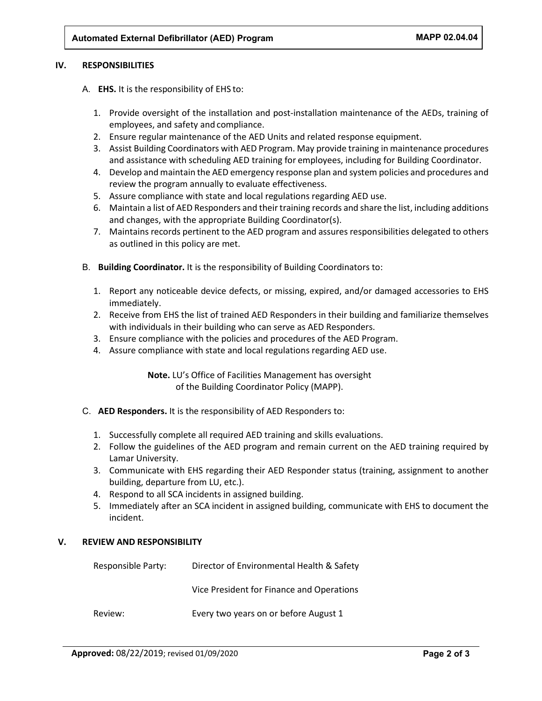#### **IV. RESPONSIBILITIES**

- A. **EHS.** It is the responsibility of EHS to:
	- 1. Provide oversight of the installation and post‐installation maintenance of the AEDs, training of employees, and safety and compliance.
	- 2. Ensure regular maintenance of the AED Units and related response equipment.
	- 3. Assist Building Coordinators with AED Program. May provide training in maintenance procedures and assistance with scheduling AED training for employees, including for Building Coordinator.
	- 4. Develop and maintain the AED emergency response plan and system policies and procedures and review the program annually to evaluate effectiveness.
	- 5. Assure compliance with state and local regulations regarding AED use.
	- 6. Maintain a list of AED Responders and their training records and share the list, including additions and changes, with the appropriate Building Coordinator(s).
	- 7. Maintains records pertinent to the AED program and assures responsibilities delegated to others as outlined in this policy are met.
- B. **Building Coordinator.** It is the responsibility of Building Coordinators to:
	- 1. Report any noticeable device defects, or missing, expired, and/or damaged accessories to EHS immediately.
	- 2. Receive from EHS the list of trained AED Responders in their building and familiarize themselves with individuals in their building who can serve as AED Responders.
	- 3. Ensure compliance with the policies and procedures of the AED Program.
	- 4. Assure compliance with state and local regulations regarding AED use.

**Note.** LU's Office of Facilities Management has oversight of the Building Coordinator Policy (MAPP).

- C. **AED Responders.** It is the responsibility of AED Responders to:
	- 1. Successfully complete all required AED training and skills evaluations.
	- 2. Follow the guidelines of the AED program and remain current on the AED training required by Lamar University.
	- 3. Communicate with EHS regarding their AED Responder status (training, assignment to another building, departure from LU, etc.).
	- 4. Respond to all SCA incidents in assigned building.
	- 5. Immediately after an SCA incident in assigned building, communicate with EHS to document the incident.

#### **V. REVIEW AND RESPONSIBILITY**

| Responsible Party: | Director of Environmental Health & Safety |
|--------------------|-------------------------------------------|
|                    | Vice President for Finance and Operations |
| Review:            | Every two years on or before August 1     |